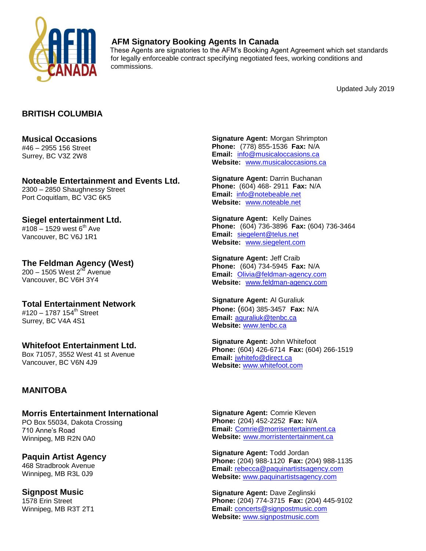

## **AFM Signatory Booking Agents In Canada**

These Agents are signatories to the AFM's Booking Agent Agreement which set standards for legally enforceable contract specifying negotiated fees, working conditions and commissions.

Updated July 2019

### **BRITISH COLUMBIA**

# **Musical Occasions** #46 – 2955 156 Street

Surrey, BC V3Z 2W8

**Noteable Entertainment and Events Ltd.** 2300 – 2850 Shaughnessy Street Port Coquitlam, BC V3C 6K5

**Siegel entertainment Ltd.**  $\#108 - 1529$  west 6<sup>th</sup> Ave Vancouver, BC V6J 1R1

**The Feldman Agency (West)**  $200 - 1505$  West  $2<sup>n</sup>$  Avenue Vancouver, BC V6H 3Y4

**Total Entertainment Network** #120 – 1787 154<sup>th</sup> Street Surrey, BC V4A 4S1

**Whitefoot Entertainment Ltd.** Box 71057, 3552 West 41 st Avenue Vancouver, BC V6N 4J9

#### **MANITOBA**

**Morris Entertainment International** PO Box 55034, Dakota Crossing 710 Anne's Road Winnipeg, MB R2N 0A0

**Paquin Artist Agency** 468 Stradbrook Avenue Winnipeg, MB R3L 0J9

**Signpost Music** 1578 Erin Street Winnipeg, MB R3T 2T1 **Signature Agent:** Morgan Shrimpton **Phone:** (778) 855-1536 **Fax:** N/A **Email:** [info@musicaloccasions.ca](mailto:info@musicaloccasions.ca) **Website:** [www.musicaloccasions.ca](http://www.musicaloccasions.ca/)

**Signature Agent:** Darrin Buchanan **Phone:** (604) 468- 2911 **Fax:** N/A **Email:** [info@notebeable.net](mailto:info@notebeable.net) **Website:** [www.noteable.net](http://www.noteable.net/)

**Signature Agent:** Kelly Daines **Phone:** (604) 736-3896 **Fax:** (604) 736-3464 **Email:** [siegelent@telus.net](mailto:siegelent@telus.net) **Website:** [www.siegelent.com](http://www.siegelent.com/)

**Signature Agent:** Jeff Craib **Phone:** (604) 734-5945 **Fax:** N/A **Email:** [Olivia@feldman-agency.com](mailto:Olivia@feldman-agency.com) **Website:** [www.feldman-agency.com](http://www.feldman-agency.com/)

**Signature Agent:** Al Guraliuk **Phone:** (604) 385-3457 **Fax:** N/A **Email:** [aguraliuk@tenbc.ca](mailto:aguraliuk@tenbc.ca) **Website:** [www.tenbc.ca](http://www.tenbc.ca/)

**Signature Agent:** John Whitefoot **Phone:** (604) 426-6714 **Fax:** (604) 266-1519 **Email:** [jwhitefo@direct.ca](mailto:jwhitefo@direct.ca) **Website:** [www.whitefoot.com](http://www.whitefoot.com/)

**Signature Agent:** Comrie Kleven **Phone:** (204) 452-2252 **Fax:** N/A **Email:** [Comrie@morrisentertainment.ca](mailto:Comrie@morrisentertainment.ca) **Website:** [www.morristentertainment.ca](http://www.morristentertainment.ca/)

**Signature Agent:** Todd Jordan **Phone:** (204) 988-1120 **Fax:** (204) 988-1135 **Email:** [rebecca@paquinartistsagency.com](mailto:rebecca@paquinartistsagency.com) **Website:** [www.paquinartistsagency.com](http://www.paquinartistsagency.com/)

**Signature Agent:** Dave Zeglinski **Phone:** (204) 774-3715 **Fax:** (204) 445-9102 **Email:** [concerts@signpostmusic.com](mailto:concerts@signpostmusic.com) **Website:** [www.signpostmusic.com](http://www.signpostmusic.com/)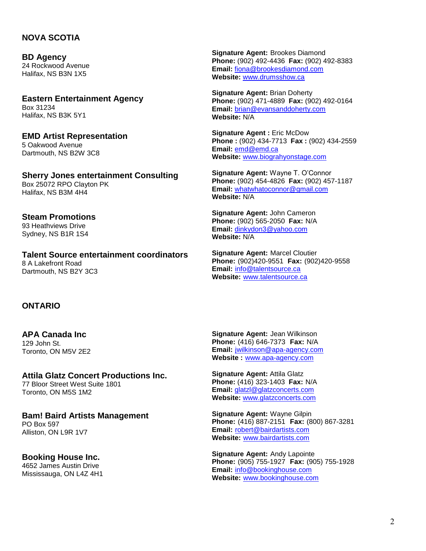#### **NOVA SCOTIA**

**BD Agency** 24 Rockwood Avenue Halifax, NS B3N 1X5

**Eastern Entertainment Agency** Box 31234 Halifax, NS B3K 5Y1

**EMD Artist Representation** 5 Oakwood Avenue Dartmouth, NS B2W 3C8

**Sherry Jones entertainment Consulting** Box 25072 RPO Clayton PK Halifax, NS B3M 4H4

**Steam Promotions** 93 Heathviews Drive Sydney, NS B1R 1S4

**Talent Source entertainment coordinators** 8 A Lakefront Road Dartmouth, NS B2Y 3C3

**Signature Agent:** Brookes Diamond **Phone:** (902) 492-4436 **Fax:** (902) 492-8383 **Email:** [fiona@brookesdiamond.com](mailto:fiona@brookesdiamond.com) **Website:** [www.drumsshow.ca](http://www.drumsshow.ca/)

**Signature Agent:** Brian Doherty **Phone:** (902) 471-4889 **Fax:** (902) 492-0164 **Email:** [brian@evansanddoherty.com](mailto:brian@evansanddoherty.com) **Website:** N/A

**Signature Agent :** Eric McDow **Phone :** (902) 434-7713 **Fax :** (902) 434-2559 **Email:** [emd@emd.ca](mailto:emd@emd.ca) **Website:** [www.biograhyonstage.com](http://www.biograhyonstage.com/)

**Signature Agent:** Wayne T. O'Connor **Phone:** (902) 454-4826 **Fax:** (902) 457-1187 **Email:** [whatwhatoconnor@gmail.com](mailto:whatwhatoconnor@gmail.com) **Website:** N/A

**Signature Agent:** John Cameron **Phone:** (902) 565-2050 **Fax:** N/A **Email:** [dinkydon3@yahoo.com](mailto:dinkydon3@yahoo.com) **Website:** N/A

**Signature Agent:** Marcel Cloutier **Phone:** (902)420-9551 **Fax:** (902)420-9558 **Email:** [info@talentsource.ca](mailto:info@talentsource.ca) **Website:** [www.talentsource.ca](http://www.talentsource.ca/)

#### **ONTARIO**

**APA Canada Inc** 129 John St. Toronto, ON M5V 2E2

**Attila Glatz Concert Productions Inc.** 77 Bloor Street West Suite 1801 Toronto, ON M5S 1M2

**Bam! Baird Artists Management** PO Box 597 Alliston, ON L9R 1V7

**Booking House Inc.** 4652 James Austin Drive Mississauga, ON L4Z 4H1

**Signature Agent:** Jean Wilkinson **Phone:** (416) 646-7373 **Fax:** N/A **Email:** [jwilkinson@apa-agency.com](mailto:jwilkinson@apa-agency.com) **Website :** [www.apa-agency.com](http://www.apa-agency.com/)

**Signature Agent:** Attila Glatz **Phone:** (416) 323-1403 **Fax:** N/A Email: [glatzl@glatzconcerts.com](mailto:glatzl@glatzconcerts.com) **Website:** [www.glatzconcerts.com](http://www.glatzconcerts.com/)

**Signature Agent:** Wayne Gilpin **Phone:** (416) 887-2151 **Fax:** (800) 867-3281 **Email:** [robert@bairdartists.com](mailto:robert@bairdartists.com) **Website:** [www.bairdartists.com](http://www.bairdartists.com/)

**Signature Agent:** Andy Lapointe **Phone:** (905) 755-1927 **Fax:** (905) 755-1928 **Email:** [info@bookinghouse.com](mailto:info@bookinghouse.com) **Website:** [www.bookinghouse.com](http://www.bookinghouse.com/)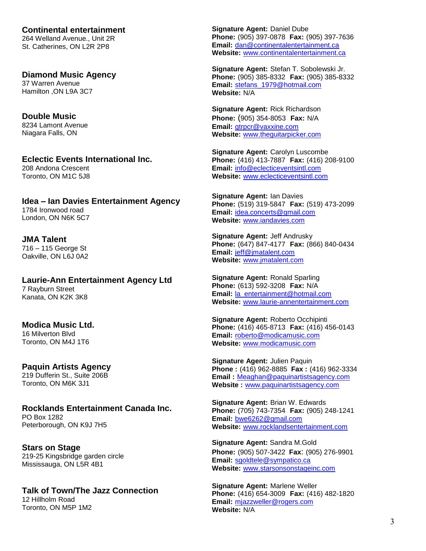**Continental entertainment** 264 Welland Avenue., Unit 2R St. Catherines, ON L2R 2P8

**Diamond Music Agency** 37 Warren Avenue Hamilton ,ON L9A 3C7

**Double Music** 8234 Lamont Avenue Niagara Falls, ON

**Eclectic Events International Inc.** 208 Andona Crescent Toronto, ON M1C 5J8

**Idea – Ian Davies Entertainment Agency** 1784 Ironwood road London, ON N6K 5C7

**JMA Talent**  716 – 115 George St Oakville, ON L6J 0A2

**Laurie-Ann Entertainment Agency Ltd** 7 Rayburn Street Kanata, ON K2K 3K8

**Modica Music Ltd.** 16 Milverton Blvd Toronto, ON M4J 1T6

**Paquin Artists Agency** 219 Dufferin St., Suite 206B Toronto, ON M6K 3J1

**Rocklands Entertainment Canada Inc.** PO Box 1282 Peterborough, ON K9J 7H5

**Stars on Stage** 219-25 Kingsbridge garden circle Mississauga, ON L5R 4B1

**Talk of Town/The Jazz Connection** 12 Hillholm Road Toronto, ON M5P 1M2

**Signature Agent:** Daniel Dube **Phone:** (905) 397-0878 **Fax:** (905) 397-7636 **Email:** [dan@continentalentertainment.ca](mailto:dan@continentalentertainment.ca) **Website:** [www.continentalentertainment.ca](http://www.continentalentertainment.ca/)

**Signature Agent:** Stefan T. Sobolewski Jr. **Phone:** (905) 385-8332 **Fax:** (905) 385-8332 **Email:** [stefans\\_1979@hotmail.com](mailto:stefans_1979@hotmail.com) **Website:** N/A

**Signature Agent:** Rick Richardson **Phone:** (905) 354-8053 **Fax:** N/A **Email:** [gtrpcr@vaxxine.com](mailto:gtrpcr@vaxxine.com) **Website:** [www.theguitarpicker.com](http://www.theguitarpicker.com/)

**Signature Agent:** Carolyn Luscombe **Phone:** (416) 413-7887 **Fax:** (416) 208-9100 **Email:** [info@eclecticeventsintl.com](mailto:info@eclecticeventsintl.com) **Website:** [www.eclecticeventsintl.com](http://www.eclecticeventsintl.com/)

**Signature Agent:** Ian Davies **Phone:** (519) 319-5847 **Fax:** (519) 473-2099 **Email:** [idea.concerts@gmail.com](mailto:idea.concerts@gmail.com) **Website:** [www.iandavies.com](http://www.iandavies.com/)

**Signature Agent:** Jeff Andrusky **Phone:** (647) 847-4177 **Fax:** (866) 840-0434 **Email:** [jeff@jmatalent.com](mailto:jeff@jmatalent.com) **Website:** [www.jmatalent.com](http://www.jmatalent.com/)

**Signature Agent:** Ronald Sparling **Phone:** (613) 592-3208 **Fax:** N/A **Email:** [la\\_entertainment@hotmail.com](mailto:la_entertainment@hotmail.com) **Website:** [www.laurie-annentertainment.com](http://www.laurie-annentertainment.com/)

**Signature Agent:** Roberto Occhipinti **Phone:** (416) 465-8713 **Fax:** (416) 456-0143 **Email:** [roberto@modicamusic.com](mailto:roberto@modicamusic.com) **Website:** [www.modicamusic.com](http://www.modicamusic.com/)

**Signature Agent:** Julien Paquin **Phone :** (416) 962-8885 **Fax :** (416) 962-3334 **Email :** [Meaghan@paquinartistsagency.com](mailto:Meaghan@paquinartistsagency.com) **Website :** [www.paquinartistsagency.com](http://www.paquinartistsagency.com/)

**Signature Agent:** Brian W. Edwards **Phone:** (705) 743-7354 **Fax:** (905) 248-1241 **Email:** [bwe6262@gmail.com](mailto:bwe6262@gmail.com) **Website:** [www.rocklandsentertainment.com](http://www.rocklandsentertainment.com/)

**Signature Agent:** Sandra M.Gold **Phone:** (905) 507-3422 **Fax**: (905) 276-9901 **Email:** [sgoldtele@sympatico.ca](mailto:sgoldtele@sympatico.ca) **Website:** [www.starsonsonstageinc.com](http://www.starsonsonstageinc.com/)

**Signature Agent:** Marlene Weller **Phone:** (416) 654-3009 **Fax:** (416) 482-1820 **Email:** [mjazzweller@rogers.com](mailto:mjazzweller@rogers.com) **Website:** N/A